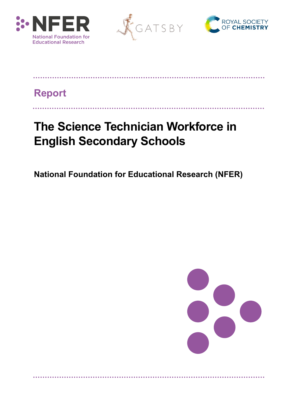





# **Report**

# **The Science Technician Workforce in English Secondary Schools**

**National Foundation for Educational Research (NFER)**

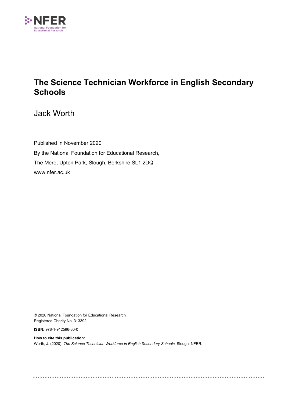

# **The Science Technician Workforce in English Secondary Schools**

Jack Worth

Published in November 2020 By the National Foundation for Educational Research, The Mere, Upton Park, Slough, Berkshire SL1 2DQ [www.nfer.ac.uk](http://www.nfer.ac.uk/)

© 2020 National Foundation for Educational Research Registered Charity No. 313392

**ISBN:** 978-1-912596-30-0

**How to cite this publication:** Worth, J. (2020). *The Science Technician Workforce in English Secondary Schools.* Slough: NFER.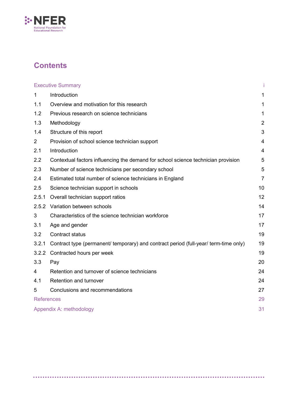

# **Contents**

|                | <b>Executive Summary</b>                                                             |                |  |
|----------------|--------------------------------------------------------------------------------------|----------------|--|
| 1              | Introduction                                                                         | 1              |  |
| 1.1            | Overview and motivation for this research                                            | 1              |  |
| 1.2            | Previous research on science technicians                                             | 1              |  |
| 1.3            | Methodology                                                                          | $\overline{2}$ |  |
| 1.4            | Structure of this report                                                             | 3              |  |
| $\overline{2}$ | Provision of school science technician support                                       | $\overline{4}$ |  |
| 2.1            | Introduction                                                                         | $\overline{4}$ |  |
| 2.2            | Contextual factors influencing the demand for school science technician provision    | 5              |  |
| 2.3            | Number of science technicians per secondary school                                   | 5              |  |
| 2.4            | Estimated total number of science technicians in England                             | $\overline{7}$ |  |
| 2.5            | Science technician support in schools                                                | 10             |  |
| 2.5.1          | Overall technician support ratios                                                    | 12             |  |
|                | 2.5.2 Variation between schools                                                      | 14             |  |
| 3              | Characteristics of the science technician workforce                                  | 17             |  |
| 3.1            | Age and gender                                                                       | 17             |  |
| 3.2            | <b>Contract status</b>                                                               | 19             |  |
| 3.2.1          | Contract type (permanent/ temporary) and contract period (full-year/ term-time only) | 19             |  |
| 3.2.2          | Contracted hours per week                                                            | 19             |  |
| 3.3            | Pay                                                                                  | 20             |  |
| 4              | Retention and turnover of science technicians                                        | 24             |  |
| 4.1            | Retention and turnover                                                               | 24             |  |
| 5              | Conclusions and recommendations                                                      | 27             |  |
|                | <b>References</b>                                                                    |                |  |
|                | Appendix A: methodology                                                              |                |  |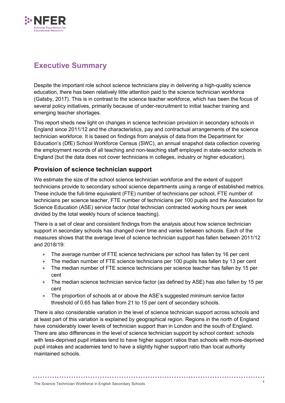

# <span id="page-3-0"></span>**Executive Summary**

Despite the important role school science technicians play in delivering a high-quality science education, there has been relatively little attention paid to the science technician workforce (Gatsby, 2017). This is in contrast to the science teacher workforce, which has been the focus of several policy initiatives, primarily because of under-recruitment to initial teacher training and emerging teacher shortages.

This report sheds new light on changes in science technician provision in secondary schools in England since 2011/12 and the characteristics, pay and contractual arrangements of the science technician workforce. It is based on findings from analysis of data from the Department for Education's (DfE) School Workforce Census (SWC), an annual snapshot data collection covering the employment records of all teaching and non-teaching staff employed in state-sector schools in England (but the data does not cover technicians in colleges, industry or higher education).

## **Provision of science technician support**

We estimate the size of the school science technician workforce and the extent of support technicians provide to secondary school science departments using a range of established metrics. These include the full-time equivalent (FTE) number of technicians per school, FTE number of technicians per science teacher, FTE number of technicians per 100 pupils and the Association for Science Education (ASE) service factor (total technician contracted working hours per week divided by the total weekly hours of science teaching).

There is a set of clear and consistent findings from the analysis about how science technician support in secondary schools has changed over time and varies between schools. Each of the measures shows that the average level of science technician support has fallen between 2011/12 and 2018/19:

- The average number of FTE science technicians per school has fallen by 16 per cent
- The median number of FTE science technicians per 100 pupils has fallen by 13 per cent
- The median number of FTE science technicians per science teacher has fallen by 15 per cent
- The median science technician service factor (as defined by ASE) has also fallen by 15 per cent
- The proportion of schools at or above the ASE's suggested minimum service factor threshold of 0.65 has fallen from 21 to 15 per cent of secondary schools.

There is also considerable variation in the level of science technician support across schools and at least part of this variation is explained by geographical region. Regions in the north of England have considerably lower levels of technician support than in London and the south of England. There are also differences in the level of science technician support by school context: schools with less-deprived pupil intakes tend to have higher support ratios than schools with more-deprived pupil intakes and academies tend to have a slightly higher support ratio than local authority maintained schools.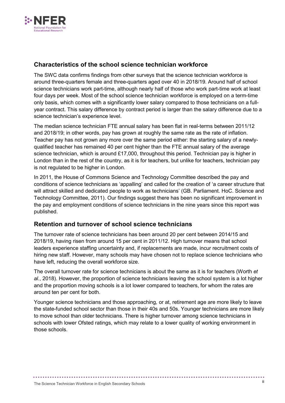

### **Characteristics of the school science technician workforce**

The SWC data confirms findings from other surveys that the science technician workforce is around three-quarters female and three-quarters aged over 40 in 2018/19. Around half of school science technicians work part-time, although nearly half of those who work part-time work at least four days per week. Most of the school science technician workforce is employed on a term-time only basis, which comes with a significantly lower salary compared to those technicians on a fullyear contract. This salary difference by contract period is larger than the salary difference due to a science technician's experience level.

The median science technician FTE annual salary has been flat in real-terms between 2011/12 and 2018/19; in other words, pay has grown at roughly the same rate as the rate of inflation. Teacher pay has not grown any more over the same period either: the starting salary of a newlyqualified teacher has remained 40 per cent higher than the FTE annual salary of the average science technician, which is around £17,000, throughout this period. Technician pay is higher in London than in the rest of the country, as it is for teachers, but unlike for teachers, technician pay is not regulated to be higher in London.

In 2011, the House of Commons Science and Technology Committee described the pay and conditions of science technicians as 'appalling' and called for the creation of 'a career structure that will attract skilled and dedicated people to work as technicians' (GB. Parliament. HoC. Science and Technology Committee, 2011). Our findings suggest there has been no significant improvement in the pay and employment conditions of science technicians in the nine years since this report was published.

### **Retention and turnover of school science technicians**

The turnover rate of science technicians has been around 20 per cent between 2014/15 and 2018/19, having risen from around 15 per cent in 2011/12. High turnover means that school leaders experience staffing uncertainty and, if replacements are made, incur recruitment costs of hiring new staff. However, many schools may have chosen not to replace science technicians who have left, reducing the overall workforce size.

The overall turnover rate for science technicians is about the same as it is for teachers (Worth *et al.*, 2018). However, the proportion of science technicians leaving the school system is a lot higher and the proportion moving schools is a lot lower compared to teachers, for whom the rates are around ten per cent for both.

Younger science technicians and those approaching, or at, retirement age are more likely to leave the state-funded school sector than those in their 40s and 50s. Younger technicians are more likely to move school than older technicians. There is higher turnover among science technicians in schools with lower Ofsted ratings, which may relate to a lower quality of working environment in those schools.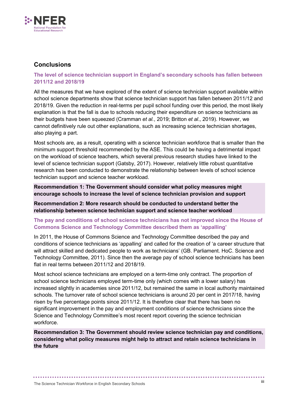

### **Conclusions**

#### **The level of science technician support in England's secondary schools has fallen between 2011/12 and 2018/19**

All the measures that we have explored of the extent of science technician support available within school science departments show that science technician support has fallen between 2011/12 and 2018/19. Given the reduction in real-terms per pupil school funding over this period, the most likely explanation is that the fall is due to schools reducing their expenditure on science technicians as their budgets have been squeezed (Cramman *et al.*, 2019; Britton *et al*., 2019). However, we cannot definitively rule out other explanations, such as increasing science technician shortages, also playing a part.

Most schools are, as a result, operating with a science technician workforce that is smaller than the minimum support threshold recommended by the ASE. This could be having a detrimental impact on the workload of science teachers, which several previous research studies have linked to the level of science technician support (Gatsby, 2017). However, relatively little robust quantitative research has been conducted to demonstrate the relationship between levels of school science technician support and science teacher workload.

**Recommendation 1: The Government should consider what policy measures might encourage schools to increase the level of science technician provision and support**

**Recommendation 2: More research should be conducted to understand better the relationship between science technician support and science teacher workload**

#### **The pay and conditions of school science technicians has not improved since the House of Commons Science and Technology Committee described them as 'appalling'**

In 2011, the House of Commons Science and Technology Committee described the pay and conditions of science technicians as 'appalling' and called for the creation of 'a career structure that will attract skilled and dedicated people to work as technicians' (GB. Parliament. HoC. Science and Technology Committee, 2011). Since then the average pay of school science technicians has been flat in real terms between 2011/12 and 2018/19.

Most school science technicians are employed on a term-time only contract. The proportion of school science technicians employed term-time only (which comes with a lower salary) has increased slightly in academies since 2011/12, but remained the same in local authority maintained schools. The turnover rate of school science technicians is around 20 per cent in 2017/18, having risen by five percentage points since 2011/12. It is therefore clear that there has been no significant improvement in the pay and employment conditions of science technicians since the Science and Technology Committee's most recent report covering the science technician workforce.

**Recommendation 3: The Government should review science technician pay and conditions, considering what policy measures might help to attract and retain science technicians in the future**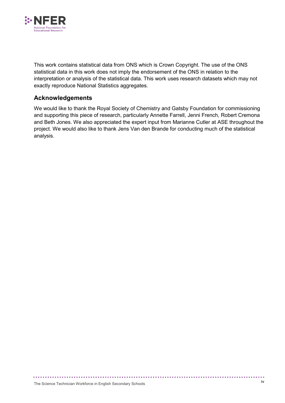

This work contains statistical data from ONS which is Crown Copyright. The use of the ONS statistical data in this work does not imply the endorsement of the ONS in relation to the interpretation or analysis of the statistical data. This work uses research datasets which may not exactly reproduce National Statistics aggregates.

### **Acknowledgements**

We would like to thank the Royal Society of Chemistry and Gatsby Foundation for commissioning and supporting this piece of research, particularly Annette Farrell, Jenni French, Robert Cremona and Beth Jones. We also appreciated the expert input from Marianne Cutler at ASE throughout the project. We would also like to thank Jens Van den Brande for conducting much of the statistical analysis.

................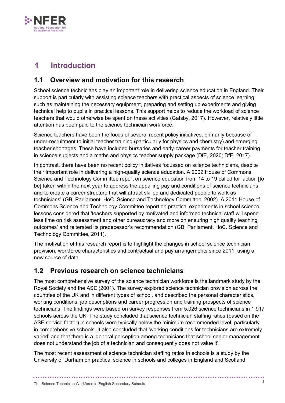

# <span id="page-7-0"></span>**1 Introduction**

# <span id="page-7-1"></span>**1.1 Overview and motivation for this research**

School science technicians play an important role in delivering science education in England. Their support is particularly with assisting science teachers with practical aspects of science learning, such as maintaining the necessary equipment, preparing and setting up experiments and giving technical help to pupils in practical lessons. This support helps to reduce the workload of science teachers that would otherwise be spent on these activities (Gatsby, 2017). However, relatively little attention has been paid to the science technician workforce.

Science teachers have been the focus of several recent policy initiatives, primarily because of under-recruitment to initial teacher training (particularly for physics and chemistry) and emerging teacher shortages. These have included bursaries and early-career payments for teacher training in science subjects and a maths and physics teacher supply package (DfE, 2020; DfE, 2017).

In contrast, there have been no recent policy initiatives focussed on science technicians, despite their important role in delivering a high-quality science education. A 2002 House of Commons Science and Technology Committee report on science education from 14 to 19 called for 'action [to be] taken within the next year to address the appalling pay and conditions of science technicians and to create a career structure that will attract skilled and dedicated people to work as technicians' (GB. Parliament. HoC. Science and Technology Committee, 2002). A 2011 House of Commons Science and Technology Committee report on practical experiments in school science lessons considered that 'teachers supported by motivated and informed technical staff will spend less time on risk assessment and other bureaucracy and more on ensuring high quality teaching outcomes' and reiterated its predecessor's recommendation (GB. Parliament. HoC. Science and Technology Committee, 2011).

The motivation of this research report is to highlight the changes in school science technician provision, workforce characteristics and contractual and pay arrangements since 2011, using a new source of data.

# <span id="page-7-2"></span>**1.2 Previous research on science technicians**

The most comprehensive survey of the science technician workforce is the landmark study by the Royal Society and the ASE (2001). The survey explored science technician provision across the countries of the UK and in different types of school, and described the personal characteristics, working conditions, job descriptions and career progression and training prospects of science technicians. The findings were based on survey responses from 5,026 science technicians in 1,917 schools across the UK. The study concluded that science technician staffing ratios (based on the ASE service factor) in schools were typically below the minimum recommended level, particularly in comprehensive schools. It also concluded that 'working conditions for technicians are extremely varied' and that there is a 'general perception among technicians that school senior management does not understand the job of a technician and consequently does not value it'.

The most recent assessment of science technician staffing ratios in schools is a study by the University of Durham on practical science in schools and colleges in England and Scotland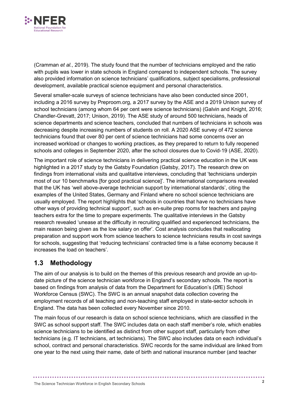

(Cramman *et al.*, 2019). The study found that the number of technicians employed and the ratio with pupils was lower in state schools in England compared to independent schools. The survey also provided information on science technicians' qualifications, subject specialisms, professional development, available practical science equipment and personal characteristics.

Several smaller-scale surveys of science technicians have also been conducted since 2001, including a 2016 survey by Preproom.org, a 2017 survey by the ASE and a 2019 Unison survey of school technicians (among whom 64 per cent were science technicians) (Galvin and Knight, 2016; Chandler-Grevatt, 2017; Unison, 2019). The ASE study of around 500 technicians, heads of science departments and science teachers, concluded that numbers of technicians in schools was decreasing despite increasing numbers of students on roll. A 2020 ASE survey of 472 science technicians found that over 80 per cent of science technicians had some concerns over an increased workload or changes to working practices, as they prepared to return to fully reopened schools and colleges in September 2020, after the school closures due to Covid-19 (ASE, 2020).

The important role of science technicians in delivering practical science education in the UK was highlighted in a 2017 study by the Gatsby Foundation (Gatsby, 2017). The research drew on findings from international visits and qualitative interviews, concluding that 'technicians underpin most of our 10 benchmarks [for good practical science]'. The international comparisons revealed that the UK has 'well above-average technician support by international standards', citing the examples of the United States, Germany and Finland where no school science technicians are usually employed. The report highlights that 'schools in countries that have no technicians have other ways of providing technical support', such as en-suite prep rooms for teachers and paying teachers extra for the time to prepare experiments. The qualitative interviews in the Gatsby research revealed 'unease at the difficulty in recruiting qualified and experienced technicians, the main reason being given as the low salary on offer'. Cost analysis concludes that reallocating preparation and support work from science teachers to science technicians results in cost savings for schools, suggesting that 'reducing technicians' contracted time is a false economy because it increases the load on teachers'.

# <span id="page-8-0"></span>**1.3 Methodology**

The aim of our analysis is to build on the themes of this previous research and provide an up-todate picture of the science technician workforce in England's secondary schools. The report is based on findings from analysis of data from the Department for Education's (DfE) School Workforce Census (SWC). The SWC is an annual snapshot data collection covering the employment records of all teaching and non-teaching staff employed in state-sector schools in England. The data has been collected every November since 2010.

The main focus of our research is data on school science technicians, which are classified in the SWC as school support staff. The SWC includes data on each staff member's role, which enables science technicians to be identified as distinct from other support staff, particularly from other technicians (e.g. IT technicians, art technicians). The SWC also includes data on each individual's school, contract and personal characteristics. SWC records for the same individual are linked from one year to the next using their name, date of birth and national insurance number (and teacher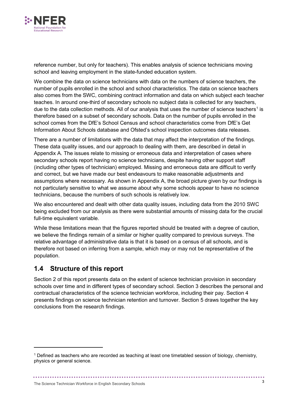

reference number, but only for teachers). This enables analysis of science technicians moving school and leaving employment in the state-funded education system.

We combine the data on science technicians with data on the numbers of science teachers, the number of pupils enrolled in the school and school characteristics. The data on science teachers also comes from the SWC, combining contract information and data on which subject each teacher teaches. In around one-third of secondary schools no subject data is collected for any teachers, due to the data collection methods. All of our analysis that uses the number of science teachers<sup>[1](#page-9-1)</sup> is therefore based on a subset of secondary schools. Data on the number of pupils enrolled in the school comes from the DfE's School Census and school characteristics come from DfE's Get Information About Schools database and Ofsted's school inspection outcomes data releases.

There are a number of limitations with the data that may affect the interpretation of the findings. These data quality issues, and our approach to dealing with them, are described in detail in Appendix A. The issues relate to missing or erroneous data and interpretation of cases where secondary schools report having no science technicians, despite having other support staff (including other types of technician) employed. Missing and erroneous data are difficult to verify and correct, but we have made our best endeavours to make reasonable adjustments and assumptions where necessary. As shown in Appendix A, the broad picture given by our findings is not particularly sensitive to what we assume about why some schools appear to have no science technicians, because the numbers of such schools is relatively low.

We also encountered and dealt with other data quality issues, including data from the 2010 SWC being excluded from our analysis as there were substantial amounts of missing data for the crucial full-time equivalent variable.

While these limitations mean that the figures reported should be treated with a degree of caution, we believe the findings remain of a similar or higher quality compared to previous surveys. The relative advantage of administrative data is that it is based on a census of all schools, and is therefore not based on inferring from a sample, which may or may not be representative of the population.

## <span id="page-9-0"></span>**1.4 Structure of this report**

-

Section 2 of this report presents data on the extent of science technician provision in secondary schools over time and in different types of secondary school. Section 3 describes the personal and contractual characteristics of the science technician workforce, including their pay. Section 4 presents findings on science technician retention and turnover. Section 5 draws together the key conclusions from the research findings.

<span id="page-9-1"></span><sup>1</sup> Defined as teachers who are recorded as teaching at least one timetabled session of biology, chemistry, physics or general science.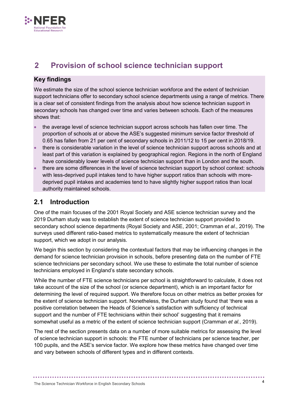

# <span id="page-10-0"></span>**2 Provision of school science technician support**

### **Key findings**

We estimate the size of the school science technician workforce and the extent of technician support technicians offer to secondary school science departments using a range of metrics. There is a clear set of consistent findings from the analysis about how science technician support in secondary schools has changed over time and varies between schools. Each of the measures shows that:

- the average level of science technician support across schools has fallen over time. The proportion of schools at or above the ASE's suggested minimum service factor threshold of 0.65 has fallen from 21 per cent of secondary schools in 2011/12 to 15 per cent in 2018/19.
- there is considerable variation in the level of science technician support across schools and at least part of this variation is explained by geographical region. Regions in the north of England have considerably lower levels of science technician support than in London and the south.
- there are some differences in the level of science technician support by school context: schools with less-deprived pupil intakes tend to have higher support ratios than schools with moredeprived pupil intakes and academies tend to have slightly higher support ratios than local authority maintained schools.

## <span id="page-10-1"></span>**2.1 Introduction**

One of the main focuses of the 2001 Royal Society and ASE science technician survey and the 2019 Durham study was to establish the extent of science technician support provided to secondary school science departments (Royal Society and ASE, 2001; Cramman *et al.*, 2019). The surveys used different ratio-based metrics to systematically measure the extent of technician support, which we adopt in our analysis.

We begin this section by considering the contextual factors that may be influencing changes in the demand for science technician provision in schools, before presenting data on the number of FTE science technicians per secondary school. We use these to estimate the total number of science technicians employed in England's state secondary schools.

While the number of FTE science technicians per school is straightforward to calculate, it does not take account of the size of the school (or science department), which is an important factor for determining the level of required support. We therefore focus on other metrics as better proxies for the extent of science technician support. Nonetheless, the Durham study found that 'there was a positive correlation between the Heads of Science's satisfaction with sufficiency of technical support and the number of FTE technicians within their school' suggesting that it remains somewhat useful as a metric of the extent of science technician support (Cramman *et al.*, 2019).

The rest of the section presents data on a number of more suitable metrics for assessing the level of science technician support in schools: the FTE number of technicians per science teacher, per 100 pupils, and the ASE's service factor. We explore how these metrics have changed over time and vary between schools of different types and in different contexts.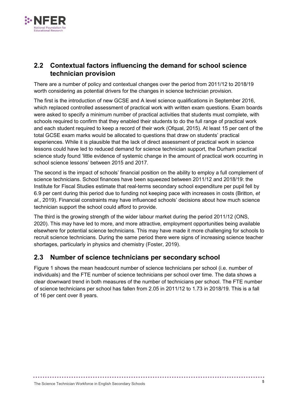

# <span id="page-11-0"></span>**2.2 Contextual factors influencing the demand for school science technician provision**

There are a number of policy and contextual changes over the period from 2011/12 to 2018/19 worth considering as potential drivers for the changes in science technician provision.

The first is the introduction of new GCSE and A level science qualifications in September 2016, which replaced controlled assessment of practical work with written exam questions. Exam boards were asked to specify a minimum number of practical activities that students must complete, with schools required to confirm that they enabled their students to do the full range of practical work and each student required to keep a record of their work (Ofqual, 2015). At least 15 per cent of the total GCSE exam marks would be allocated to questions that draw on students' practical experiences. While it is plausible that the lack of direct assessment of practical work in science lessons could have led to reduced demand for science technician support, the Durham practical science study found 'little evidence of systemic change in the amount of practical work occurring in school science lessons' between 2015 and 2017.

The second is the impact of schools' financial position on the ability to employ a full complement of science technicians. School finances have been squeezed between 2011/12 and 2018/19: the Institute for Fiscal Studies estimate that real-terms secondary school expenditure per pupil fell by 6.9 per cent during this period due to funding not keeping pace with increases in costs (Britton, *et al.*, 2019). Financial constraints may have influenced schools' decisions about how much science technician support the school could afford to provide.

The third is the growing strength of the wider labour market during the period 2011/12 (ONS, 2020). This may have led to more, and more attractive, employment opportunities being available elsewhere for potential science technicians. This may have made it more challenging for schools to recruit science technicians. During the same period there were signs of increasing science teacher shortages, particularly in physics and chemistry (Foster, 2019).

# <span id="page-11-1"></span>**2.3 Number of science technicians per secondary school**

Figure 1 shows the mean headcount number of science technicians per school (i.e. number of individuals) and the FTE number of science technicians per school over time. The data shows a clear downward trend in both measures of the number of technicians per school. The FTE number of science technicians per school has fallen from 2.05 in 2011/12 to 1.73 in 2018/19. This is a fall of 16 per cent over 8 years.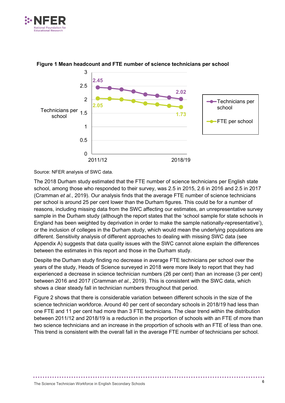



#### **Figure 1 Mean headcount and FTE number of science technicians per school**

Source: NFER analysis of SWC data.

The 2018 Durham study estimated that the FTE number of science technicians per English state school, among those who responded to their survey, was 2.5 in 2015, 2.6 in 2016 and 2.5 in 2017 (Cramman *et al.*, 2019). Our analysis finds that the average FTE number of science technicians per school is around 25 per cent lower than the Durham figures. This could be for a number of reasons, including missing data from the SWC affecting our estimates, an unrepresentative survey sample in the Durham study (although the report states that the 'school sample for state schools in England has been weighted by deprivation in order to make the sample nationally-representative'), or the inclusion of colleges in the Durham study, which would mean the underlying populations are different. Sensitivity analysis of different approaches to dealing with missing SWC data (see Appendix A) suggests that data quality issues with the SWC cannot alone explain the differences between the estimates in this report and those in the Durham study.

Despite the Durham study finding no decrease in average FTE technicians per school over the years of the study, Heads of Science surveyed in 2018 were more likely to report that they had experienced a decrease in science technician numbers (26 per cent) than an increase (3 per cent) between 2016 and 2017 (Cramman *et al.*, 2019). This is consistent with the SWC data, which shows a clear steady fall in technician numbers throughout that period.

Figure 2 shows that there is considerable variation between different schools in the size of the science technician workforce. Around 40 per cent of secondary schools in 2018/19 had less than one FTE and 11 per cent had more than 3 FTE technicians. The clear trend within the distribution between 2011/12 and 2018/19 is a reduction in the proportion of schools with an FTE of more than two science technicians and an increase in the proportion of schools with an FTE of less than one. This trend is consistent with the overall fall in the average FTE number of technicians per school.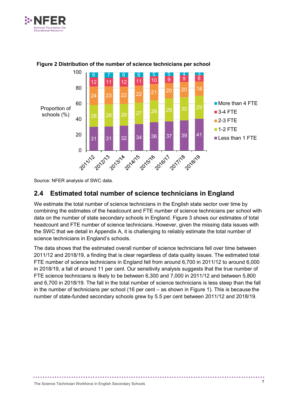



#### **Figure 2 Distribution of the number of science technicians per school**

Source: NFER analysis of SWC data.

# <span id="page-13-0"></span>**2.4 Estimated total number of science technicians in England**

We estimate the total number of science technicians in the English state sector over time by combining the estimates of the headcount and FTE number of science technicians per school with data on the number of state secondary schools in England. Figure 3 shows our estimates of total headcount and FTE number of science technicians. However, given the missing data issues with the SWC that we detail in Appendix A, it is challenging to reliably estimate the total number of science technicians in England's schools.

The data shows that the estimated overall number of science technicians fell over time between 2011/12 and 2018/19, a finding that is clear regardless of data quality issues. The estimated total FTE number of science technicians in England fell from around 6,700 in 2011/12 to around 6,000 in 2018/19, a fall of around 11 per cent. Our sensitivity analysis suggests that the true number of FTE science technicians is likely to be between 6,300 and 7,000 in 2011/12 and between 5,800 and 6,700 in 2018/19. The fall in the total number of science technicians is less steep than the fall in the number of technicians per school (16 per cent – as shown in Figure 1). This is because the number of state-funded secondary schools grew by 5.5 per cent between 2011/12 and 2018/19.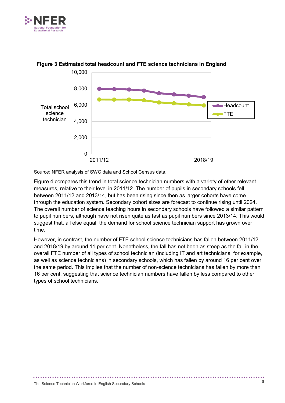



#### **Figure 3 Estimated total headcount and FTE science technicians in England**

Source: NFER analysis of SWC data and School Census data.

Figure 4 compares this trend in total science technician numbers with a variety of other relevant measures, relative to their level in 2011/12. The number of pupils in secondary schools fell between 2011/12 and 2013/14, but has been rising since then as larger cohorts have come through the education system. Secondary cohort sizes are forecast to continue rising until 2024. The overall number of science teaching hours in secondary schools have followed a similar pattern to pupil numbers, although have not risen quite as fast as pupil numbers since 2013/14. This would suggest that, all else equal, the demand for school science technician support has grown over time.

However, in contrast, the number of FTE school science technicians has fallen between 2011/12 and 2018/19 by around 11 per cent. Nonetheless, the fall has not been as steep as the fall in the overall FTE number of all types of school technician (including IT and art technicians, for example, as well as science technicians) in secondary schools, which has fallen by around 16 per cent over the same period. This implies that the number of non-science technicians has fallen by more than 16 per cent, suggesting that science technician numbers have fallen by less compared to other types of school technicians.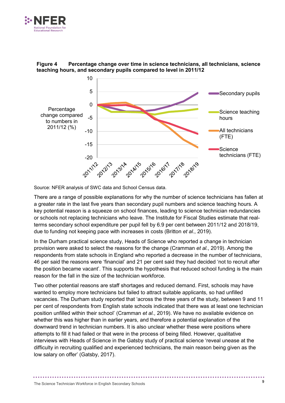



**Figure 4 Percentage change over time in science technicians, all technicians, science teaching hours, and secondary pupils compared to level in 2011/12**

Source: NFER analysis of SWC data and School Census data.

There are a range of possible explanations for why the number of science technicians has fallen at a greater rate in the last five years than secondary pupil numbers and science teaching hours. A key potential reason is a squeeze on school finances, leading to science technician redundancies or schools not replacing technicians who leave. The Institute for Fiscal Studies estimate that realterms secondary school expenditure per pupil fell by 6.9 per cent between 2011/12 and 2018/19, due to funding not keeping pace with increases in costs (Britton *et al*., 2019).

In the Durham practical science study, Heads of Science who reported a change in technician provision were asked to select the reasons for the change (Cramman *et al.*, 2019). Among the respondents from state schools in England who reported a decrease in the number of technicians, 46 per said the reasons were 'financial' and 21 per cent said they had decided 'not to recruit after the position became vacant'. This supports the hypothesis that reduced school funding is the main reason for the fall in the size of the technician workforce.

Two other potential reasons are staff shortages and reduced demand. First, schools may have wanted to employ more technicians but failed to attract suitable applicants, so had unfilled vacancies. The Durham study reported that 'across the three years of the study, between 9 and 11 per cent of respondents from English state schools indicated that there was at least one technician position unfilled within their school' (Cramman *et al.*, 2019). We have no available evidence on whether this was higher than in earlier years, and therefore a potential explanation of the downward trend in technician numbers. It is also unclear whether these were positions where attempts to fill it had failed or that were in the process of being filled. However, qualitative interviews with Heads of Science in the Gatsby study of practical science 'reveal unease at the difficulty in recruiting qualified and experienced technicians, the main reason being given as the low salary on offer' (Gatsby, 2017).

.............................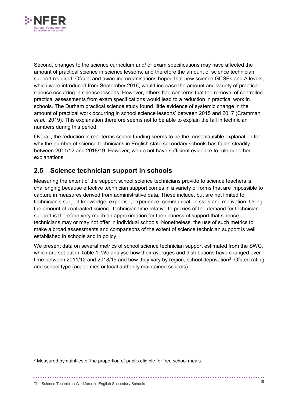

Second, changes to the science curriculum and/ or exam specifications may have affected the amount of practical science in science lessons, and therefore the amount of science technician support required. Ofqual and awarding organisations hoped that new science GCSEs and A levels, which were introduced from September 2016, would increase the amount and variety of practical science occurring in science lessons. However, others had concerns that the removal of controlled practical assessments from exam specifications would lead to a reduction in practical work in schools. The Durham practical science study found 'little evidence of systemic change in the amount of practical work occurring in school science lessons' between 2015 and 2017 (Cramman *et al.*, 2019). This explanation therefore seems not to be able to explain the fall in technician numbers during this period.

Overall, the reduction in real-terms school funding seems to be the most plausible explanation for why the number of science technicians in English state secondary schools has fallen steadily between 2011/12 and 2018/19. However, we do not have sufficient evidence to rule out other explanations.

# <span id="page-16-0"></span>**2.5 Science technician support in schools**

Measuring the extent of the support school science technicians provide to science teachers is challenging because effective technician support comes in a variety of forms that are impossible to capture in measures derived from administrative data. These include, but are not limited to, technician's subject knowledge, expertise, experience, communication skills and motivation. Using the amount of contracted science technician time relative to proxies of the demand for technician support is therefore very much an approximation for the richness of support that science technicians may or may not offer in individual schools. Nonetheless, the use of such metrics to make a broad assessments and comparisons of the extent of science technician support is well established in schools and in policy.

We present data on several metrics of school science technician support estimated from the SWC, which are set out in Table 1. We analyse how their averages and distributions have changed over time between [2](#page-16-1)011/12 and 2018/19 and how they vary by region, school deprivation<sup>2</sup>, Ofsted rating and school type (academies or local authority maintained schools).

-

<span id="page-16-1"></span><sup>&</sup>lt;sup>2</sup> Measured by quintiles of the proportion of pupils eligible for free school meals.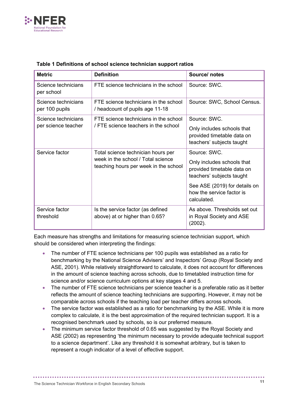

| <b>Metric</b>                         | <b>Definition</b>                                                                                                 | Source/notes                                                                          |
|---------------------------------------|-------------------------------------------------------------------------------------------------------------------|---------------------------------------------------------------------------------------|
| Science technicians<br>per school     | FTE science technicians in the school                                                                             | Source: SWC.                                                                          |
| Science technicians<br>per 100 pupils | FTE science technicians in the school<br>/ headcount of pupils age 11-18                                          | Source: SWC, School Census.                                                           |
| Science technicians                   | FTE science technicians in the school                                                                             | Source: SWC.                                                                          |
| per science teacher                   | / FTE science teachers in the school                                                                              | Only includes schools that<br>provided timetable data on<br>teachers' subjects taught |
| Service factor                        | Total science technician hours per<br>week in the school / Total science<br>teaching hours per week in the school | Source: SWC.                                                                          |
|                                       |                                                                                                                   | Only includes schools that<br>provided timetable data on<br>teachers' subjects taught |
|                                       |                                                                                                                   | See ASE (2019) for details on<br>how the service factor is<br>calculated.             |
| Service factor<br>threshold           | Is the service factor (as defined<br>above) at or higher than 0.65?                                               | As above. Thresholds set out<br>in Royal Society and ASE<br>(2002).                   |

#### **Table 1 Definitions of school science technician support ratios**

Each measure has strengths and limitations for measuring science technician support, which should be considered when interpreting the findings:

- The number of FTE science technicians per 100 pupils was established as a ratio for benchmarking by the National Science Advisers' and Inspectors' Group (Royal Society and ASE, 2001). While relatively straightforward to calculate, it does not account for differences in the amount of science teaching across schools, due to timetabled instruction time for science and/or science curriculum options at key stages 4 and 5.
- The number of FTE science technicians per science teacher is a preferable ratio as it better reflects the amount of science teaching technicians are supporting. However, it may not be comparable across schools if the teaching load per teacher differs across schools.
- The service factor was established as a ratio for benchmarking by the ASE. While it is more complex to calculate, it is the best approximation of the required technician support. It is a recognised benchmark used by schools, so is our preferred measure.
- The minimum service factor threshold of 0.65 was suggested by the Royal Society and ASE (2002) as representing 'the minimum necessary to provide adequate technical support to a science department'. Like any threshold it is somewhat arbitrary, but is taken to represent a rough indicator of a level of effective support.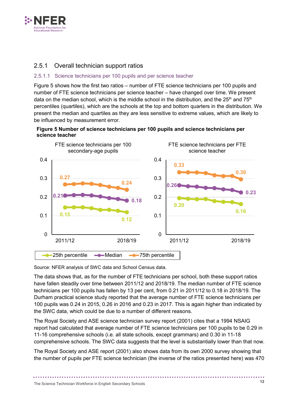

#### <span id="page-18-0"></span>2.5.1 Overall technician support ratios

#### 2.5.1.1 Science technicians per 100 pupils and per science teacher

Figure 5 shows how the first two ratios – number of FTE science technicians per 100 pupils and number of FTE science technicians per science teacher – have changed over time. We present data on the median school, which is the middle school in the distribution, and the  $25<sup>th</sup>$  and  $75<sup>th</sup>$ percentiles (quartiles), which are the schools at the top and bottom quarters in the distribution. We present the median and quartiles as they are less sensitive to extreme values, which are likely to be influenced by measurement error.

#### **Figure 5 Number of science technicians per 100 pupils and science technicians per science teacher**



Source: NFER analysis of SWC data and School Census data.

The data shows that, as for the number of FTE technicians per school, both these support ratios have fallen steadily over time between 2011/12 and 2018/19. The median number of FTE science technicians per 100 pupils has fallen by 13 per cent, from 0.21 in 2011/12 to 0.18 in 2018/19. The Durham practical science study reported that the average number of FTE science technicians per 100 pupils was 0.24 in 2015, 0.26 in 2016 and 0.23 in 2017. This is again higher than indicated by the SWC data, which could be due to a number of different reasons.

The Royal Society and ASE science technician survey report (2001) cites that a 1994 NSAIG report had calculated that average number of FTE science technicians per 100 pupils to be 0.29 in 11-16 comprehensive schools (i.e. all state schools, except grammars) and 0.30 in 11-18 comprehensive schools. The SWC data suggests that the level is substantially lower than that now.

The Royal Society and ASE report (2001) also shows data from its own 2000 survey showing that the number of pupils per FTE science technician (the inverse of the ratios presented here) was 470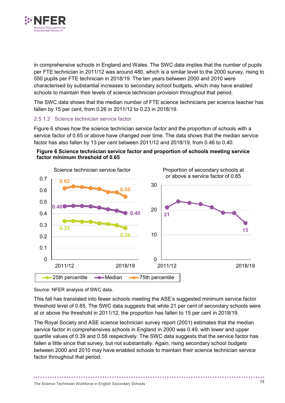

in comprehensive schools in England and Wales. The SWC data implies that the number of pupils per FTE technician in 2011/12 was around 480, which is a similar level to the 2000 survey, rising to 550 pupils per FTE technician in 2018/19. The ten years between 2000 and 2010 were characterised by substantial increases to secondary school budgets, which may have enabled schools to maintain their levels of science technician provision throughout that period.

The SWC data shows that the median number of FTE science technicians per science teacher has fallen by 15 per cent, from 0.26 in 2011/12 to 0.23 in 2018/19.

#### 2.5.1.2 Science technician service factor

Figure 6 shows how the science technician service factor and the proportion of schools with a service factor of 0.65 or above have changed over time. The data shows that the median service factor has also fallen by 13 per cent between 2011/12 and 2018/19, from 0.46 to 0.40.





Source: NFER analysis of SWC data.

This fall has translated into fewer schools meeting the ASE's suggested minimum service factor threshold level of 0.65. The SWC data suggests that while 21 per cent of secondary schools were at or above the threshold in 2011/12, the proportion has fallen to 15 per cent in 2018/19.

The Royal Society and ASE science technician survey report (2001) estimates that the median service factor in comprehensives schools in England in 2000 was 0.49, with lower and upper quartile values of 0.39 and 0.58 respectively. The SWC data suggests that the service factor has fallen a little since that survey, but not substantially. Again, rising secondary school budgets between 2000 and 2010 may have enabled schools to maintain their science technician service factor throughout that period.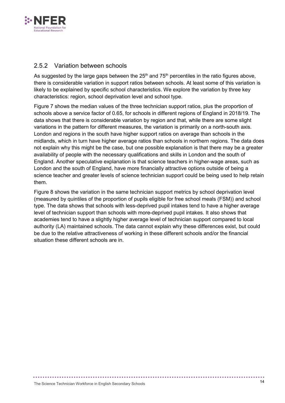

#### <span id="page-20-0"></span>2.5.2 Variation between schools

As suggested by the large gaps between the  $25<sup>th</sup>$  and  $75<sup>th</sup>$  percentiles in the ratio figures above, there is considerable variation in support ratios between schools. At least some of this variation is likely to be explained by specific school characteristics. We explore the variation by three key characteristics: region, school deprivation level and school type.

Figure 7 shows the median values of the three technician support ratios, plus the proportion of schools above a service factor of 0.65, for schools in different regions of England in 2018/19. The data shows that there is considerable variation by region and that, while there are some slight variations in the pattern for different measures, the variation is primarily on a north-south axis. London and regions in the south have higher support ratios on average than schools in the midlands, which in turn have higher average ratios than schools in northern regions. The data does not explain why this might be the case, but one possible explanation is that there may be a greater availability of people with the necessary qualifications and skills in London and the south of England. Another speculative explanation is that science teachers in higher-wage areas, such as London and the south of England, have more financially attractive options outside of being a science teacher and greater levels of science technician support could be being used to help retain them.

Figure 8 shows the variation in the same technician support metrics by school deprivation level (measured by quintiles of the proportion of pupils eligible for free school meals (FSM)) and school type. The data shows that schools with less-deprived pupil intakes tend to have a higher average level of technician support than schools with more-deprived pupil intakes. It also shows that academies tend to have a slightly higher average level of technician support compared to local authority (LA) maintained schools. The data cannot explain why these differences exist, but could be due to the relative attractiveness of working in these different schools and/or the financial situation these different schools are in.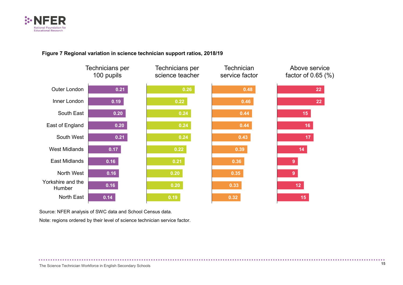

#### **Figure 7 Regional variation in science technician support ratios, 2018/19**



Source: NFER analysis of SWC data and School Census data.

Note: regions ordered by their level of science technician service factor.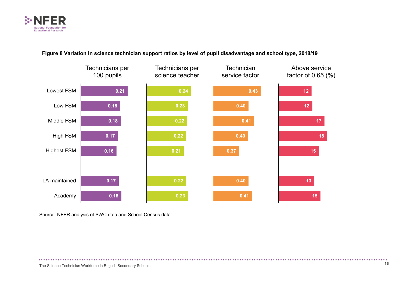

#### **Figure 8 Variation in science technician support ratios by level of pupil disadvantage and school type, 2018/19**



Source: NFER analysis of SWC data and School Census data.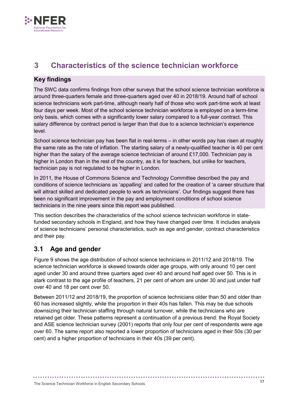

# <span id="page-23-0"></span>**3 Characteristics of the science technician workforce**

### **Key findings**

The SWC data confirms findings from other surveys that the school science technician workforce is around three-quarters female and three-quarters aged over 40 in 2018/19. Around half of school science technicians work part-time, although nearly half of those who work part-time work at least four days per week. Most of the school science technician workforce is employed on a term-time only basis, which comes with a significantly lower salary compared to a full-year contract. This salary difference by contract period is larger than that due to a science technician's experience level.

School science technician pay has been flat in real-terms – in other words pay has risen at roughly the same rate as the rate of inflation. The starting salary of a newly-qualified teacher is 40 per cent higher than the salary of the average science technician of around £17,000. Technician pay is higher in London than in the rest of the country, as it is for teachers, but unlike for teachers, technician pay is not regulated to be higher in London.

In 2011, the House of Commons Science and Technology Committee described the pay and conditions of science technicians as 'appalling' and called for the creation of 'a career structure that will attract skilled and dedicated people to work as technicians'. Our findings suggest there has been no significant improvement in the pay and employment conditions of school science technicians in the nine years since this report was published.

This section describes the characteristics of the school science technician workforce in statefunded secondary schools in England, and how they have changed over time. It includes analysis of science technicians' personal characteristics, such as age and gender, contract characteristics and their pay.

# <span id="page-23-1"></span>**3.1 Age and gender**

Figure 9 shows the age distribution of school science technicians in 2011/12 and 2018/19. The science technician workforce is skewed towards older age groups, with only around 10 per cent aged under 30 and around three quarters aged over 40 and around half aged over 50. This is in stark contrast to the age profile of teachers, 21 per cent of whom are under 30 and just under half over 40 and 18 per cent over 50.

Between 2011/12 and 2018/19, the proportion of science technicians older than 50 and older than 60 has increased slightly, while the proportion in their 40s has fallen. This may be due schools downsizing their technician staffing through natural turnover, while the technicians who are retained get older. These patterns represent a continuation of a previous trend: the Royal Society and ASE science technician survey (2001) reports that only four per cent of respondents were age over 60. The same report also reported a lower proportion of technicians aged in their 50s (30 per cent) and a higher proportion of technicians in their 40s (39 per cent).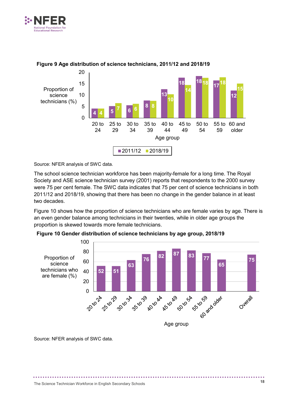



#### **Figure 9 Age distribution of science technicians, 2011/12 and 2018/19**

Source: NFER analysis of SWC data.

The school science technician workforce has been majority-female for a long time. The Royal Society and ASE science technician survey (2001) reports that respondents to the 2000 survey were 75 per cent female. The SWC data indicates that 75 per cent of science technicians in both 2011/12 and 2018/19, showing that there has been no change in the gender balance in at least two decades.

Figure 10 shows how the proportion of science technicians who are female varies by age. There is an even gender balance among technicians in their twenties, while in older age groups the proportion is skewed towards more female technicians.



**Figure 10 Gender distribution of science technicians by age group, 2018/19**

Source: NFER analysis of SWC data.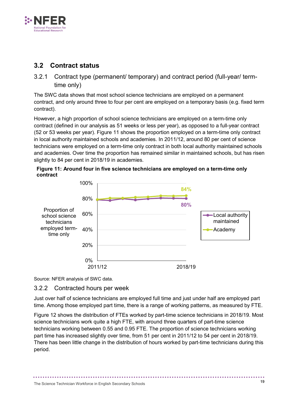

# <span id="page-25-0"></span>**3.2 Contract status**

<span id="page-25-1"></span>3.2.1 Contract type (permanent/ temporary) and contract period (full-year/ termtime only)

The SWC data shows that most school science technicians are employed on a permanent contract, and only around three to four per cent are employed on a temporary basis (e.g. fixed term contract).

However, a high proportion of school science technicians are employed on a term-time only contract (defined in our analysis as 51 weeks or less per year), as opposed to a full-year contract (52 or 53 weeks per year). Figure 11 shows the proportion employed on a term-time only contract in local authority maintained schools and academies. In 2011/12, around 80 per cent of science technicians were employed on a term-time only contract in both local authority maintained schools and academies. Over time the proportion has remained similar in maintained schools, but has risen slightly to 84 per cent in 2018/19 in academies.





Source: NFER analysis of SWC data.

### <span id="page-25-2"></span>3.2.2 Contracted hours per week

Just over half of science technicians are employed full time and just under half are employed part time. Among those employed part time, there is a range of working patterns, as measured by FTE.

Figure 12 shows the distribution of FTEs worked by part-time science technicians in 2018/19. Most science technicians work quite a high FTE, with around three quarters of part-time science technicians working between 0.55 and 0.95 FTE. The proportion of science technicians working part time has increased slightly over time, from 51 per cent in 2011/12 to 54 per cent in 2018/19. There has been little change in the distribution of hours worked by part-time technicians during this period.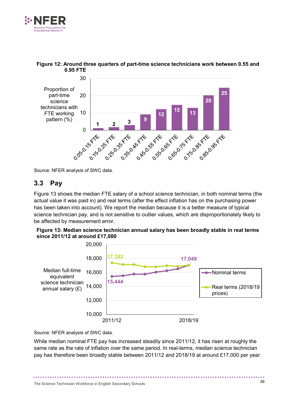



#### **Figure 12: Around three quarters of part-time science technicians work between 0.55 and 0.95 FTE**

Source: NFER analysis of SWC data.

## <span id="page-26-0"></span>**3.3 Pay**

Figure 13 shows the median FTE salary of a school science technician, in both nominal terms (the actual value it was paid in) and real terms (after the effect inflation has on the purchasing power has been taken into account). We report the median because it is a better measure of typical science technician pay, and is not sensitive to outlier values, which are disproportionately likely to be affected by measurement error.





Source: NFER analysis of SWC data.

While median nominal FTE pay has increased steadily since 2011/12, it has risen at roughly the same rate as the rate of inflation over the same period. In real-terms, median science technician pay has therefore been broadly stable between 2011/12 and 2018/19 at around £17,000 per year.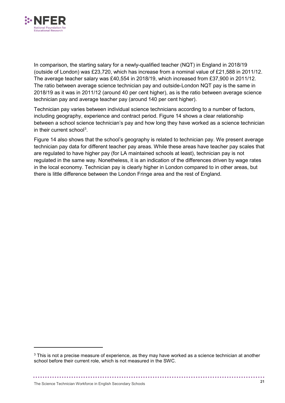

In comparison, the starting salary for a newly-qualified teacher (NQT) in England in 2018/19 (outside of London) was £23,720, which has increase from a nominal value of £21,588 in 2011/12. The average teacher salary was £40,554 in 2018/19, which increased from £37,900 in 2011/12. The ratio between average science technician pay and outside-London NQT pay is the same in 2018/19 as it was in 2011/12 (around 40 per cent higher), as is the ratio between average science technician pay and average teacher pay (around 140 per cent higher).

Technician pay varies between individual science technicians according to a number of factors, including geography, experience and contract period. Figure 14 shows a clear relationship between a school science technician's pay and how long they have worked as a science technician in their current school<sup>[3](#page-27-0)</sup>.

Figure 14 also shows that the school's geography is related to technician pay. We present average technician pay data for different teacher pay areas. While these areas have teacher pay scales that are regulated to have higher pay (for LA maintained schools at least), technician pay is not regulated in the same way. Nonetheless, it is an indication of the differences driven by wage rates in the local economy. Technician pay is clearly higher in London compared to in other areas, but there is little difference between the London Fringe area and the rest of England.

-

<span id="page-27-0"></span><sup>&</sup>lt;sup>3</sup> This is not a precise measure of experience, as they may have worked as a science technician at another school before their current role, which is not measured in the SWC.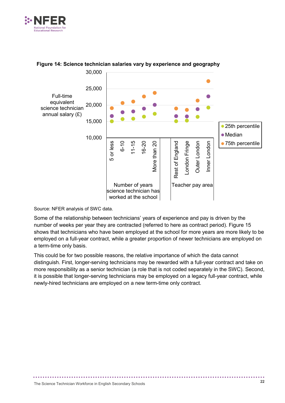



#### **Figure 14: Science technician salaries vary by experience and geography**

Source: NFER analysis of SWC data.

Some of the relationship between technicians' years of experience and pay is driven by the number of weeks per year they are contracted (referred to here as contract period). Figure 15 shows that technicians who have been employed at the school for more years are more likely to be employed on a full-year contract, while a greater proportion of newer technicians are employed on a term-time only basis.

This could be for two possible reasons, the relative importance of which the data cannot distinguish. First, longer-serving technicians may be rewarded with a full-year contract and take on more responsibility as a senior technician (a role that is not coded separately in the SWC). Second, it is possible that longer-serving technicians may be employed on a legacy full-year contract, while newly-hired technicians are employed on a new term-time only contract.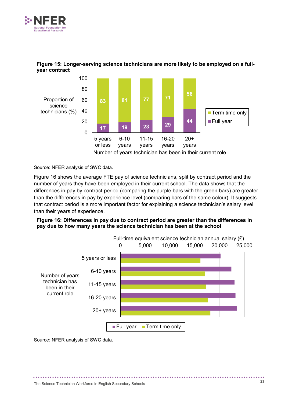



#### **Figure 15: Longer-serving science technicians are more likely to be employed on a fullyear contract**

Source: NFER analysis of SWC data.

Figure 16 shows the average FTE pay of science technicians, split by contract period and the number of years they have been employed in their current school. The data shows that the differences in pay by contract period (comparing the purple bars with the green bars) are greater than the differences in pay by experience level (comparing bars of the same colour). It suggests that contract period is a more important factor for explaining a science technician's salary level than their years of experience.

#### **Figure 16: Differences in pay due to contract period are greater than the differences in pay due to how many years the science technician has been at the school**



Source: NFER analysis of SWC data.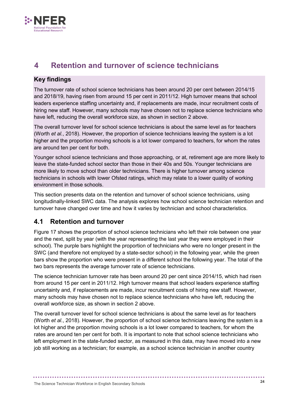

# <span id="page-30-0"></span>**4 Retention and turnover of science technicians**

### **Key findings**

The turnover rate of school science technicians has been around 20 per cent between 2014/15 and 2018/19, having risen from around 15 per cent in 2011/12. High turnover means that school leaders experience staffing uncertainty and, if replacements are made, incur recruitment costs of hiring new staff. However, many schools may have chosen not to replace science technicians who have left, reducing the overall workforce size, as shown in section 2 above.

The overall turnover level for school science technicians is about the same level as for teachers (Worth *et al.*, 2018). However, the proportion of science technicians leaving the system is a lot higher and the proportion moving schools is a lot lower compared to teachers, for whom the rates are around ten per cent for both.

Younger school science technicians and those approaching, or at, retirement age are more likely to leave the state-funded school sector than those in their 40s and 50s. Younger technicians are more likely to move school than older technicians. There is higher turnover among science technicians in schools with lower Ofsted ratings, which may relate to a lower quality of working environment in those schools.

This section presents data on the retention and turnover of school science technicians, using longitudinally-linked SWC data. The analysis explores how school science technician retention and turnover have changed over time and how it varies by technician and school characteristics.

# <span id="page-30-1"></span>**4.1 Retention and turnover**

Figure 17 shows the proportion of school science technicians who left their role between one year and the next, split by year (with the year representing the last year they were employed in their school). The purple bars highlight the proportion of technicians who were no longer present in the SWC (and therefore not employed by a state-sector school) in the following year, while the green bars show the proportion who were present in a different school the following year. The total of the two bars represents the average turnover rate of science technicians.

The science technician turnover rate has been around 20 per cent since 2014/15, which had risen from around 15 per cent in 2011/12. High turnover means that school leaders experience staffing uncertainty and, if replacements are made, incur recruitment costs of hiring new staff. However, many schools may have chosen not to replace science technicians who have left, reducing the overall workforce size, as shown in section 2 above.

The overall turnover level for school science technicians is about the same level as for teachers (Worth *et al*., 2018). However, the proportion of school science technicians leaving the system is a lot higher and the proportion moving schools is a lot lower compared to teachers, for whom the rates are around ten per cent for both. It is important to note that school science technicians who left employment in the state-funded sector, as measured in this data, may have moved into a new job still working as a technician; for example, as a school science technician in another country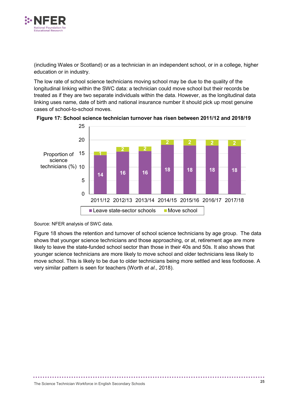

(including Wales or Scotland) or as a technician in an independent school, or in a college, higher education or in industry.

The low rate of school science technicians moving school may be due to the quality of the longitudinal linking within the SWC data: a technician could move school but their records be treated as if they are two separate individuals within the data. However, as the longitudinal data linking uses name, date of birth and national insurance number it should pick up most genuine cases of school-to-school moves.



**Figure 17: School science technician turnover has risen between 2011/12 and 2018/19**

Source: NFER analysis of SWC data.

Figure 18 shows the retention and turnover of school science technicians by age group. The data shows that younger science technicians and those approaching, or at, retirement age are more likely to leave the state-funded school sector than those in their 40s and 50s. It also shows that younger science technicians are more likely to move school and older technicians less likely to move school. This is likely to be due to older technicians being more settled and less footloose. A very similar pattern is seen for teachers (Worth *et al*., 2018).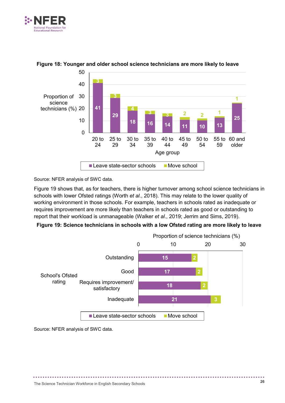



#### **Figure 18: Younger and older school science technicians are more likely to leave**

Source: NFER analysis of SWC data.

Figure 19 shows that, as for teachers, there is higher turnover among school science technicians in schools with lower Ofsted ratings (Worth *et al*., 2018). This may relate to the lower quality of working environment in those schools. For example, teachers in schools rated as inadequate or requires improvement are more likely than teachers in schools rated as good or outstanding to report that their workload is unmanageable (Walker *et al*., 2019; Jerrim and Sims, 2019).

#### **Figure 19: Science technicians in schools with a low Ofsted rating are more likely to leave**



Source: NFER analysis of SWC data.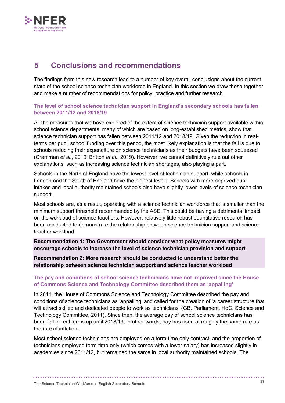

# <span id="page-33-0"></span>**5 Conclusions and recommendations**

The findings from this new research lead to a number of key overall conclusions about the current state of the school science technician workforce in England. In this section we draw these together and make a number of recommendations for policy, practice and further research.

**The level of school science technician support in England's secondary schools has fallen between 2011/12 and 2018/19**

All the measures that we have explored of the extent of science technician support available within school science departments, many of which are based on long-established metrics, show that science technician support has fallen between 2011/12 and 2018/19. Given the reduction in realterms per pupil school funding over this period, the most likely explanation is that the fall is due to schools reducing their expenditure on science technicians as their budgets have been squeezed (Cramman *et al.*, 2019; Britton *et al*., 2019). However, we cannot definitively rule out other explanations, such as increasing science technician shortages, also playing a part.

Schools in the North of England have the lowest level of technician support, while schools in London and the South of England have the highest levels. Schools with more deprived pupil intakes and local authority maintained schools also have slightly lower levels of science technician support.

Most schools are, as a result, operating with a science technician workforce that is smaller than the minimum support threshold recommended by the ASE. This could be having a detrimental impact on the workload of science teachers. However, relatively little robust quantitative research has been conducted to demonstrate the relationship between science technician support and science teacher workload.

**Recommendation 1: The Government should consider what policy measures might encourage schools to increase the level of science technician provision and support**

**Recommendation 2: More research should be conducted to understand better the relationship between science technician support and science teacher workload**

#### **The pay and conditions of school science technicians have not improved since the House of Commons Science and Technology Committee described them as 'appalling'**

In 2011, the House of Commons Science and Technology Committee described the pay and conditions of science technicians as 'appalling' and called for the creation of 'a career structure that will attract skilled and dedicated people to work as technicians' (GB. Parliament. HoC. Science and Technology Committee, 2011). Since then, the average pay of school science technicians has been flat in real terms up until 2018/19; in other words, pay has risen at roughly the same rate as the rate of inflation.

Most school science technicians are employed on a term-time only contract, and the proportion of technicians employed term-time only (which comes with a lower salary) has increased slightly in academies since 2011/12, but remained the same in local authority maintained schools. The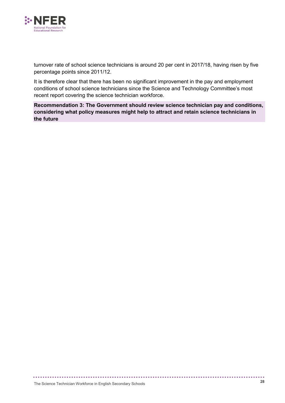

turnover rate of school science technicians is around 20 per cent in 2017/18, having risen by five percentage points since 2011/12.

It is therefore clear that there has been no significant improvement in the pay and employment conditions of school science technicians since the Science and Technology Committee's most recent report covering the science technician workforce.

**Recommendation 3: The Government should review science technician pay and conditions, considering what policy measures might help to attract and retain science technicians in the future**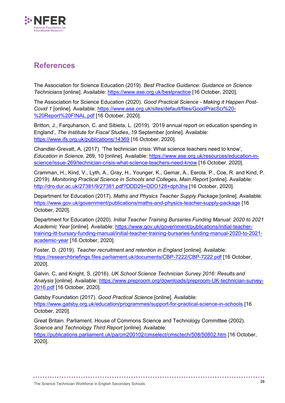

# <span id="page-35-0"></span>**References**

The Association for Science Education (2019). *Best Practice Guidance: Guidance on Science Technicians* [online]. Available:<https://www.ase.org.uk/bestpractice> [16 October, 2020].

The Association for Science Education (2020). *Good Practical Science - Making it Happen Post-Covid 1* [online]. Available: [https://www.ase.org.uk/sites/default/files/GoodPracSci%20-](https://www.ase.org.uk/sites/default/files/GoodPracSci%20-%20Report%20FINAL.pdf) [%20Report%20FINAL.pdf](https://www.ase.org.uk/sites/default/files/GoodPracSci%20-%20Report%20FINAL.pdf) [16 October, 2020].

Britton, J., Farquharson, C. and Sibieta, L. (2019). '2019 annual report on education spending in England', *The Institute for Fiscal Studies*, 19 September [online]. Available: <https://www.ifs.org.uk/publications/14369> [16 October, 2020].

Chandler-Grevatt, A. (2017). 'The technician crisis: What science teachers need to know', *Education in Science,* 269, 10 [online]. Available: [https://www.ase.org.uk/resources/education-in](https://www.ase.org.uk/resources/education-in-science/issue-269/technician-crisis-what-science-teachers-need-know)[science/issue-269/technician-crisis-what-science-teachers-need-know](https://www.ase.org.uk/resources/education-in-science/issue-269/technician-crisis-what-science-teachers-need-know) [16 October, 2020].

Cramman, H., Kind, V., Lyth, A., Gray, H., Younger, K., Gemar, A., Eerola, P., Coe, R. and Kind, P. (2019). *Monitoring Practical Science in Schools and Colleges, Main Report* [online]. Available: <http://dro.dur.ac.uk/27381/9/27381.pdf?DDD29+DDO128+dph3ha> [16 October, 2020].

Department for Education (2017). *Maths and Physics Teacher Supply Package* [online]. Available: <https://www.gov.uk/government/publications/maths-and-physics-teacher-supply-package> [16 October, 2020].

Department for Education (2020). *Initial Teacher Training Bursaries Funding Manual: 2020 to 2021 Academic Year* [online]. Available: [https://www.gov.uk/government/publications/initial-teacher](https://www.gov.uk/government/publications/initial-teacher-training-itt-bursary-funding-manual/initial-teacher-training-bursaries-funding-manual-2020-to-2021-academic-year)[training-itt-bursary-funding-manual/initial-teacher-training-bursaries-funding-manual-2020-to-2021](https://www.gov.uk/government/publications/initial-teacher-training-itt-bursary-funding-manual/initial-teacher-training-bursaries-funding-manual-2020-to-2021-academic-year) [academic-year](https://www.gov.uk/government/publications/initial-teacher-training-itt-bursary-funding-manual/initial-teacher-training-bursaries-funding-manual-2020-to-2021-academic-year) [16 October, 2020].

Foster, D. (2019). *Teacher recruitment and retention in England* [online]. Available: <https://researchbriefings.files.parliament.uk/documents/CBP-7222/CBP-7222.pdf> [16 October, 2020].

Galvin, C, and Knight, S. (2016). *UK School Science Technician Survey 2016: Results and Analysis* [online]. Available: [https://www.preproom.org/downloads/preproom-UK-technician-survey-](https://www.preproom.org/downloads/preproom-UK-technician-survey-2016.pdf)[2016.pdf](https://www.preproom.org/downloads/preproom-UK-technician-survey-2016.pdf) [16 October, 2020].

Gatsby Foundation (2017). *Good Practical Science* [online]. Available: <https://www.gatsby.org.uk/education/programmes/support-for-practical-science-in-schools> [16 October, 2020].

Great Britain. Parliament. House of Commons Science and Technology Committee (2002). *Science and Technology Third Report* [online]. Available: <https://publications.parliament.uk/pa/cm200102/cmselect/cmsctech/508/50802.htm> [16 October, 2020].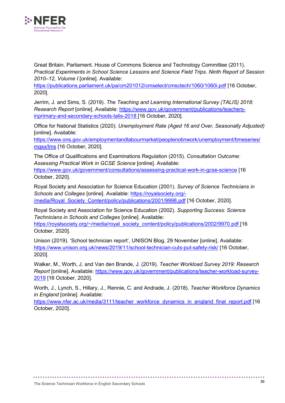

Great Britain. Parliament. House of Commons Science and Technology Committee (2011). *Practical Experiments in School Science Lessons and Science Field Trips*. *Ninth Report of Session 2010–12, Volume I* [online]. Available:

<https://publications.parliament.uk/pa/cm201012/cmselect/cmsctech/1060/1060i.pdf> [16 October, 2020].

Jerrim, J. and Sims, S. (2019). *The Teaching and Learning International Survey (TALIS) 2018: Research Report* [online]. Available: [https://www.gov.uk/government/publications/teachers](https://www.gov.uk/government/publications/teachers-inprimary-and-secondary-schools-talis-2018)[inprimary-and-secondary-schools-talis-2018](https://www.gov.uk/government/publications/teachers-inprimary-and-secondary-schools-talis-2018) [16 October, 2020].

Office for National Statistics (2020). *Unemployment Rate (Aged 16 and Over, Seasonally Adjusted)* [online]. Available:

[https://www.ons.gov.uk/employmentandlabourmarket/peoplenotinwork/unemployment/timeseries/](https://www.ons.gov.uk/employmentandlabourmarket/peoplenotinwork/unemployment/timeseries/mgsx/lms) [mgsx/lms](https://www.ons.gov.uk/employmentandlabourmarket/peoplenotinwork/unemployment/timeseries/mgsx/lms) [16 October, 2020].

The Office of Qualifications and Examinations Regulation (2015). *Consultation Outcome: Assessing Practical Work in GCSE Science* [online]. Available: <https://www.gov.uk/government/consultations/assessing-practical-work-in-gcse-science> [16 October, 2020].

Royal Society and Association for Science Education (2001). *Survey of Science Technicians in Schools and Colleges* [online]. Available: [https://royalsociety.org/-](https://royalsociety.org/-/media/Royal_Society_Content/policy/publications/2001/9998.pdf) [/media/Royal\\_Society\\_Content/policy/publications/2001/9998.pdf](https://royalsociety.org/-/media/Royal_Society_Content/policy/publications/2001/9998.pdf) [16 October, 2020].

Royal Society and Association for Science Education (2002). *Supporting Success: Science Technicians in Schools and Colleges* [online]. Available: [https://royalsociety.org/~/media/royal\\_society\\_content/policy/publications/2002/9970.pdf](https://royalsociety.org/%7E/media/royal_society_content/policy/publications/2002/9970.pdf) [16]

October, 2020].

Unison (2019). 'School technician report', UNISON Blog, 29 November [online]. Available: <https://www.unison.org.uk/news/2019/11/school-technician-cuts-put-safety-risk/> [16 October, 2020].

Walker, M., Worth, J. and Van den Brande, J. (2019). *Teacher Workload Survey 2019: Research Report* [online]. Available: [https://www.gov.uk/government/publications/teacher-workload-survey-](https://www.gov.uk/government/publications/teacher-workload-survey-2019)[2019](https://www.gov.uk/government/publications/teacher-workload-survey-2019) [16 October, 2020].

Worth, J., Lynch, S., Hillary, J., Rennie, C. and Andrade, J. (2018). *Teacher Workforce Dynamics in England* [online]. Available:

[https://www.nfer.ac.uk/media/3111/teacher\\_workforce\\_dynamics\\_in\\_england\\_final\\_report.pdf](https://www.nfer.ac.uk/media/3111/teacher_workforce_dynamics_in_england_final_report.pdf) [16] October, 2020].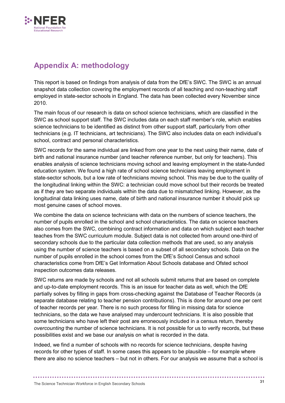

# <span id="page-37-0"></span>**Appendix A: methodology**

This report is based on findings from analysis of data from the DfE's SWC. The SWC is an annual snapshot data collection covering the employment records of all teaching and non-teaching staff employed in state-sector schools in England. The data has been collected every November since 2010.

The main focus of our research is data on school science technicians, which are classified in the SWC as school support staff. The SWC includes data on each staff member's role, which enables science technicians to be identified as distinct from other support staff, particularly from other technicians (e.g. IT technicians, art technicians). The SWC also includes data on each individual's school, contract and personal characteristics.

SWC records for the same individual are linked from one year to the next using their name, date of birth and national insurance number (and teacher reference number, but only for teachers). This enables analysis of science technicians moving school and leaving employment in the state-funded education system. We found a high rate of school science technicians leaving employment in state-sector schools, but a low rate of technicians moving school. This may be due to the quality of the longitudinal linking within the SWC: a technician could move school but their records be treated as if they are two separate individuals within the data due to mismatched linking. However, as the longitudinal data linking uses name, date of birth and national insurance number it should pick up most genuine cases of school moves.

We combine the data on science technicians with data on the numbers of science teachers, the number of pupils enrolled in the school and school characteristics. The data on science teachers also comes from the SWC, combining contract information and data on which subject each teacher teaches from the SWC curriculum module. Subject data is not collected from around one-third of secondary schools due to the particular data collection methods that are used, so any analysis using the number of science teachers is based on a subset of all secondary schools. Data on the number of pupils enrolled in the school comes from the DfE's School Census and school characteristics come from DfE's Get Information About Schools database and Ofsted school inspection outcomes data releases.

SWC returns are made by schools and not all schools submit returns that are based on complete and up-to-date employment records. This is an issue for teacher data as well, which the DfE partially solves by filling in gaps from cross-checking against the Database of Teacher Records (a separate database relating to teacher pension contributions). This is done for around one per cent of teacher records per year. There is no such process for filling in missing data for science technicians, so the data we have analysed may undercount technicians. It is also possible that some technicians who have left their post are erroneously included in a census return, thereby *overcounting* the number of science technicians. It is not possible for us to verify records, but these possibilities exist and we base our analysis on what is recorded in the data.

Indeed, we find a number of schools with no records for science technicians, despite having records for other types of staff. In some cases this appears to be plausible – for example where there are also no science teachers – but not in others. For our analysis we assume that a school is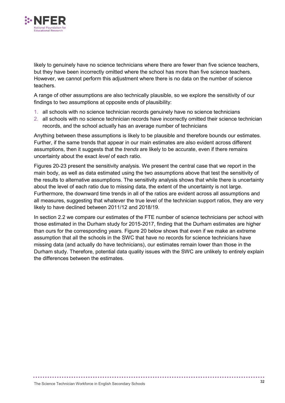

likely to genuinely have no science technicians where there are fewer than five science teachers, but they have been incorrectly omitted where the school has more than five science teachers. However, we cannot perform this adjustment where there is no data on the number of science teachers.

A range of other assumptions are also technically plausible, so we explore the sensitivity of our findings to two assumptions at opposite ends of plausibility:

- 1. all schools with no science technician records genuinely have no science technicians
- 2. all schools with no science technician records have incorrectly omitted their science technician records, and the school actually has an average number of technicians

Anything between these assumptions is likely to be plausible and therefore bounds our estimates. Further, if the same trends that appear in our main estimates are also evident across different assumptions, then it suggests that the *trends* are likely to be accurate, even if there remains uncertainty about the exact *level* of each ratio.

Figures 20-23 present the sensitivity analysis. We present the central case that we report in the main body, as well as data estimated using the two assumptions above that test the sensitivity of the results to alternative assumptions. The sensitivity analysis shows that while there is uncertainty about the level of each ratio due to missing data, the extent of the uncertainty is not large. Furthermore, the downward time trends in all of the ratios are evident across all assumptions and all measures, suggesting that whatever the true level of the technician support ratios, they are very likely to have declined between 2011/12 and 2018/19.

In section 2.2 we compare our estimates of the FTE number of science technicians per school with those estimated in the Durham study for 2015-2017, finding that the Durham estimates are higher than ours for the corresponding years. Figure 20 below shows that even if we make an extreme assumption that all the schools in the SWC that have no records for science technicians have missing data (and actually do have technicians), our estimates remain lower than those in the Durham study. Therefore, potential data quality issues with the SWC are unlikely to entirely explain the differences between the estimates.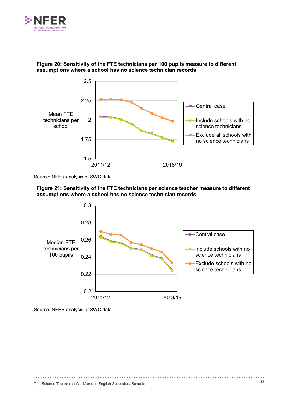



#### **Figure 20: Sensitivity of the FTE technicians per 100 pupils measure to different assumptions where a school has no science technician records**

Source: NFER analysis of SWC data.





Source: NFER analysis of SWC data.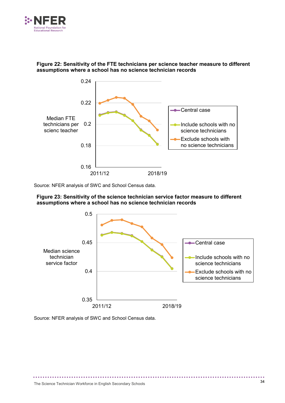

#### **Figure 22: Sensitivity of the FTE technicians per science teacher measure to different assumptions where a school has no science technician records**



Source: NFER analysis of SWC and School Census data.





Source: NFER analysis of SWC and School Census data.